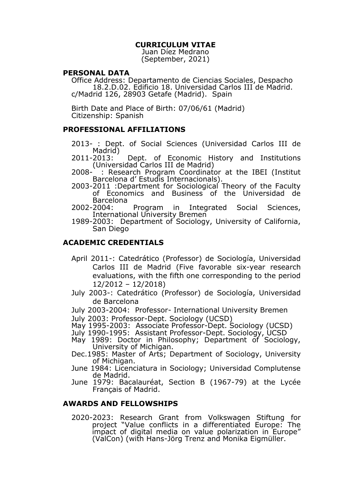# **CURRICULUM VITAE**

Juan Díez Medrano (September, 2021)

#### **PERSONAL DATA**

Office Address: Departamento de Ciencias Sociales, Despacho 18.2.D.02. Edificio 18. Universidad Carlos III de Madrid. c/Madrid 126, 28903 Getafe (Madrid). Spain

Birth Date and Place of Birth: 07/06/61 (Madrid) Citizenship: Spanish

# **PROFESSIONAL AFFILIATIONS**

- 2013- : Dept. of Social Sciences (Universidad Carlos III de Madrid)<br>2011-2013:
- Dept. of Economic History and Institutions (Universidad Carlos III de Madrid)<br>2008- : Research Program Coordinati
- 2008- : Research Program Coordinator at the IBEI (Institut Barcelona d' Estudis Internacionals).
- 2003-2011 :Department for Sociological Theory of the Faculty of Economics and Business of the Universidad de Barcelona<br>:2002-2004
- Program in Integrated Social Sciences, International University Bremen
- 1989-2003: Department of Sociology, University of California, San Diego

# **ACADEMIC CREDENTIALS**

- April 2011-: Catedrático (Professor) de Sociología, Universidad Carlos III de Madrid (Five favorable six-year research evaluations, with the fifth one corresponding to the period 12/2012 – 12/2018)
- July 2003-: Catedrático (Professor) de Sociología, Universidad de Barcelona
- July 2003-2004: Professor- International University Bremen
- July 2003: Professor-Dept. Sociology (UCSD)
- May 1995-2003: Associate Professor-Dept. Sociology (UCSD)
- July 1990-1995: Assistant Professor-Dept. Sociology, UCSD
- May 1989: Doctor in Philosophy; Department of Sociology, University of Michigan.
- Dec.1985: Master of Arts; Department of Sociology, University of Michigan.
- June 1984: Licenciatura in Sociology; Universidad Complutense de Madrid.
- June 1979: Bacalauréat, Section B (1967-79) at the Lycée Français of Madrid.

## **AWARDS AND FELLOWSHIPS**

2020-2023: Research Grant from Volkswagen Stiftung for project "Value conflicts in a differentiated Europe: The impact of digital media on value polarization in Europe" (ValCon) (with Hans-Jörg Trenz and Monika Eigmüller.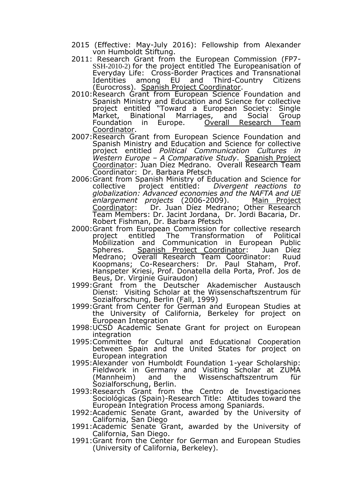- 2015 (Effective: May-July 2016): Fellowship from Alexander von Humboldt Stiftung.
- 2011: Research Grant from the European Commission (FP7- SSH-2010-2) for the project entitled The Europeanisation of Everyday Life: Cross-Border Practices and Transnational Third-Country Citizens (Eurocross). Spanish Project Coordinator.
- 2010:Research Grant from European Science Foundation and Spanish Ministry and Education and Science for collective project entitled "Toward a European Society: Single Market, Binational Marriages, and Social Group<br>Foundation in Europe. Overall Research Team Overall Research Team Coordinator.
- 2007:Research Grant from European Science Foundation and Spanish Ministry and Education and Science for collective project entitled *Political Communication Cultures in Western Europe – A Comparative Study*. Spanish Project Coordinator: Juan Díez Medrano. Overall Research Team Coordinator: Dr. Barbara Pfetsch
- 2006:Grant from Spanish Ministry of Education and Science for<br>collective project entitled: *Divergent reactions to* collective project entitled: *Divergent reactions to globalization: Advanced economies and the NAFTA and UE enlargement projects* (2006-2009). Main Project Coordinator: Dr. Juan Díez Medrano; Other Research Team Members: Dr. Jacint Jordana, Dr. Jordi Bacaria, Dr. Robert Fishman, Dr. Barbara Pfetsch
- 2000:Grant from European Commission for collective research<br>project entitled The Transformation of Political Transformation of Mobilization and Communication in European Public Spheres. Spanish Project Coordinator: Juan Díez Medrano; Overall Research Team Coordinator: Ruud Koopmans; Co-Researchers: Dr. Paul Staham, Prof. Hanspeter Kriesi, Prof. Donatella della Porta, Prof. Jos de Beus, Dr. Virginie Guiraudon)
- 1999:Grant from the Deutscher Akademischer Austausch Dienst: Visiting Scholar at the Wissenschaftszentrum für Sozialforschung, Berlin (Fall, 1999)
- 1999:Grant from Center for German and European Studies at the University of California, Berkeley for project on European Integration
- 1998:UCSD Academic Senate Grant for project on European integration
- 1995:Committee for Cultural and Educational Cooperation between Spain and the United States for project on European integration
- 1995:Alexander von Humboldt Foundation 1-year Scholarship: Fieldwork in Germany and Visiting Scholar at ZUMA (Mannheim) and the Wissenschaftszentrum für Sozialforschung, Berlin.
- 1993:Research Grant from the Centro de Investigaciones Sociológicas (Spain)-Research Title: Attitudes toward the European Integration Process among Spaniards.
- 1992:Academic Senate Grant, awarded by the University of California, San Diego
- 1991:Academic Senate Grant, awarded by the University of California, San Diego.
- 1991:Grant from the Center for German and European Studies (University of California, Berkeley).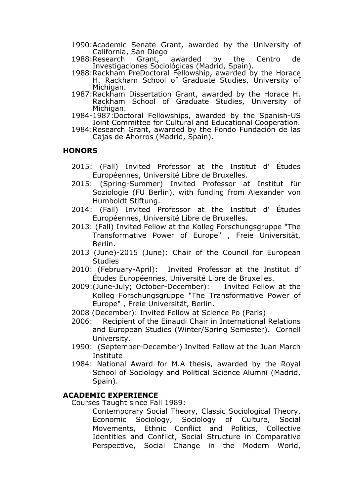- 1990:Academic Senate Grant, awarded by the University of California, San Diego<br>1988:Research Grant,
- 1988:Research Grant, awarded by the Centro de Investigaciones Sociológicas (Madrid, Spain).
- 1988:Rackham PreDoctoral Fellowship, awarded by the Horace H. Rackham School of Graduate Studies, University of Michigan.
- 1987:Rackham Dissertation Grant, awarded by the Horace H. Rackham School of Graduate Studies, University of Michigan.
- 1984-1987:Doctoral Fellowships, awarded by the Spanish-US Joint Committee for Cultural and Educational Cooperation.
- 1984:Research Grant, awarded by the Fondo Fundación de las Cajas de Ahorros (Madrid, Spain).

# **HONORS**

- 2015: (Fall) Invited Professor at the Institut d' Études Européennes, Université Libre de Bruxelles.
- 2015: (Spring-Summer) Invited Professor at Institut für Soziologie (FU Berlin), with funding from Alexander von Humboldt Stiftung.
- 2014: (Fall) Invited Professor at the Institut d' Études Européennes, Université Libre de Bruxelles.
- 2013: (Fall) Invited Fellow at the Kolleg Forschungsgruppe "The Transformative Power of Europe" , Freie Universität, Berlin.
- 2013 (June)-2015 (June): Chair of the Council for European **Studies**
- 2010: (February-April): Invited Professor at the Institut d' Études Européennes, Université Libre de Bruxelles.
- 2009:(June-July; October-December): Invited Fellow at the Kolleg Forschungsgruppe "The Transformative Power of Europe" , Freie Universität, Berlin.
- 2008 (December): Invited Fellow at Science Po (Paris)
- 2006: Recipient of the Einaudi Chair in International Relations and European Studies (Winter/Spring Semester). Cornell University.
- 1990: (September-December) Invited Fellow at the Juan March **Institute**
- 1984: National Award for M.A thesis, awarded by the Royal School of Sociology and Political Science Alumni (Madrid, Spain).

# **ACADEMIC EXPERIENCE**

Courses Taught since Fall 1989:

Contemporary Social Theory, Classic Sociological Theory, Economic Sociology, Sociology of Culture, Social Movements, Ethnic Conflict and Politics, Collective Identities and Conflict, Social Structure in Comparative Perspective, Social Change in the Modern World,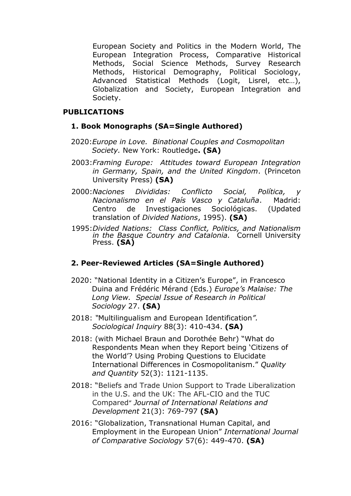European Society and Politics in the Modern World, The European Integration Process, Comparative Historical Methods, Social Science Methods, Survey Research Methods, Historical Demography, Political Sociology, Advanced Statistical Methods (Logit, Lisrel, etc…), Globalization and Society, European Integration and Society.

# **PUBLICATIONS**

# **1. Book Monographs (SA=Single Authored)**

- 2020:*Europe in Love. Binational Couples and Cosmopolitan Society.* New York: Routledge**. (SA)**
- 2003:*Framing Europe: Attitudes toward European Integration in Germany, Spain, and the United Kingdom*. (Princeton University Press) **(SA)**
- 2000:*Naciones Divididas: Conflicto Social, Política, y Nacionalismo en el País Vasco y Cataluña*. Madrid: Centro de Investigaciones Sociológicas. (Updated translation of *Divided Nations*, 1995). **(SA)**
- 1995:*Divided Nations: Class Conflict, Politics, and Nationalism in the Basque Country and Catalonia.* Cornell University Press. **(SA)**

# **2. Peer-Reviewed Articles (SA=Single Authored)**

- 2020: "National Identity in a Citizen's Europe", in Francesco Duina and Frédéric Mérand (Eds.) *Europe's Malaise: The Long View. Special Issue of Research in Political Sociology* 27. **(SA)**
- 2018: *"*Multilingualism and European Identification*". Sociological Inquiry* 88(3): 410-434. **(SA)**
- 2018: (with Michael Braun and Dorothée Behr) "What do Respondents Mean when they Report being 'Citizens of the World'? Using Probing Questions to Elucidate International Differences in Cosmopolitanism." *Quality and Quantity* 52(3): 1121-1135.
- 2018: "Beliefs and Trade Union Support to Trade Liberalization in the U.S. and the UK: The AFL-CIO and the TUC Compared" *Journal of International Relations and Development* 21(3): 769-797 **(SA)**
- 2016: "Globalization, Transnational Human Capital, and Employment in the European Union" *International Journal of Comparative Sociology* 57(6): 449-470. **(SA)**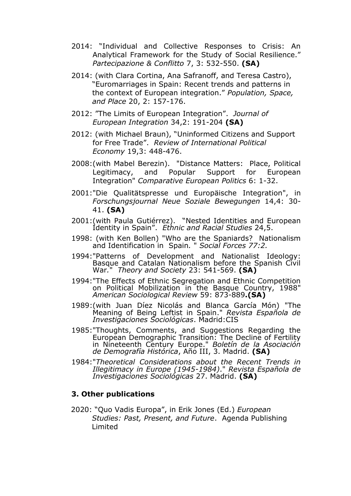- 2014: "Individual and Collective Responses to Crisis: An Analytical Framework for the Study of Social Resilience." *Partecipazione & Conflitto* 7, 3: 532-550. **(SA)**
- 2014: (with Clara Cortina, Ana Safranoff, and Teresa Castro), "Euromarriages in Spain: Recent trends and patterns in the context of European integration." *Population, Space, and Place* 20, 2: 157-176.
- 2012: "The Limits of European Integration". *Journal of European Integration* 34,2: 191-204 **(SA)**
- 2012: (with Michael Braun), "Uninformed Citizens and Support for Free Trade". *Review of International Political Economy* 19,3: 448-476.
- 2008:(with Mabel Berezin). "Distance Matters: Place, Political Legitimacy, and Popular Support for European Integration" *Comparative European Politics* 6: 1-32.
- 2001:"Die Qualitätspresse und Europäische Integration", in *Forschungsjournal Neue Soziale Bewegungen* 14,4: 30- 41. **(SA)**
- 2001:(with Paula Gutiérrez). "Nested Identities and European Identity in Spain". *Ethnic and Racial Studies* 24,5.
- 1998: (with Ken Bollen) "Who are the Spaniards? Nationalism and Identification in Spain*.* " *Social Forces 77:2.*
- 1994:"Patterns of Development and Nationalist Ideology: Basque and Catalan Nationalism before the Spanish Civil War*.*" *Theory and Society* 23: 541-569. **(SA)**
- 1994:"The Effects of Ethnic Segregation and Ethnic Competition on Political Mobilization in the Basque Country, 1988" *American Sociological Review* 59: 873-889**.(SA)**
- 1989:(with Juan Díez Nicolás and Blanca García Món) "The Meaning of Being Leftist in Spain." *Revista Española de Investigaciones Sociológicas*. Madrid:CIS
- 1985:"Thoughts, Comments, and Suggestions Regarding the European Demographic Transition: The Decline of Fertility in Nineteenth Century Europe." *Boletín de la Asociación de Demografía Histórica*, Año III, 3. Madrid. **(SA)**
- 1984:"*Theoretical Considerations about the Recent Trends in Illegitimacy in Europe (1945-1984)*." *Revista Española de Investigaciones Sociológicas* 27. Madrid. **(SA)**

## **3. Other publications**

2020: "Quo Vadis Europa", in Erik Jones (Ed.) *European Studies: Past, Present, and Future*. Agenda Publishing Limited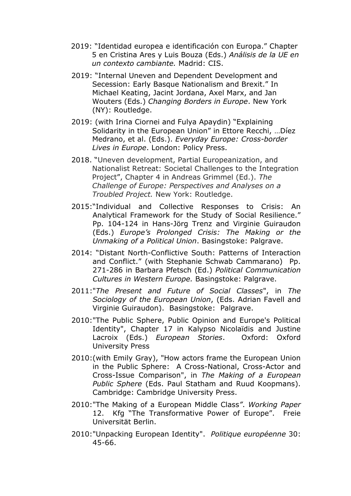- 2019: "Identidad europea e identificación con Europa." Chapter 5 en Cristina Ares y Luis Bouza (Eds.) *Análisis de la UE en un contexto cambiante.* Madrid: CIS.
- 2019: "Internal Uneven and Dependent Development and Secession: Early Basque Nationalism and Brexit." In Michael Keating, Jacint Jordana, Axel Marx, and Jan Wouters (Eds.) *Changing Borders in Europe*. New York (NY): Routledge.
- 2019: (with Irina Ciornei and Fulya Apaydin) "Explaining Solidarity in the European Union" in Ettore Recchi, …Díez Medrano, et al. (Eds.). *Everyday Europe: Cross-border Lives in Europe*. London: Policy Press.
- 2018. "Uneven development, Partial Europeanization, and Nationalist Retreat: Societal Challenges to the Integration Project", Chapter 4 in Andreas Grimmel (Ed.). *The Challenge of Europe: Perspectives and Analyses on a Troubled Project.* New York: Routledge.
- 2015:"Individual and Collective Responses to Crisis: An Analytical Framework for the Study of Social Resilience." Pp. 104-124 in Hans-Jörg Trenz and Virginie Guiraudon (Eds.) *Europe's Prolonged Crisis: The Making or the Unmaking of a Political Union*. Basingstoke: Palgrave.
- 2014: "Distant North-Conflictive South: Patterns of Interaction and Conflict." (with Stephanie Schwab Cammarano) Pp. 271-286 in Barbara Pfetsch (Ed.) *Political Communication Cultures in Western Europe.* Basingstoke: Palgrave.
- 2011:"*The Present and Future of Social Classes*", in *The Sociology of the European Union*, (Eds. Adrian Favell and Virginie Guiraudon). Basingstoke: Palgrave.
- 2010:"The Public Sphere, Public Opinion and Europe's Political Identity", Chapter 17 in Kalypso Nicolaïdis and Justine Lacroix (Eds.) *European Stories*. Oxford: Oxford University Press
- 2010:(with Emily Gray), "How actors frame the European Union in the Public Sphere: A Cross-National, Cross-Actor and Cross-Issue Comparison", in *The Making of a European Public Sphere* (Eds. Paul Statham and Ruud Koopmans). Cambridge: Cambridge University Press.
- 2010:"The Making of a European Middle Class*"*. *Working Paper* 12. Kfg "The Transformative Power of Europe". Freie Universität Berlin.
- 2010:"Unpacking European Identity". *Politique européenne* 30: 45-66.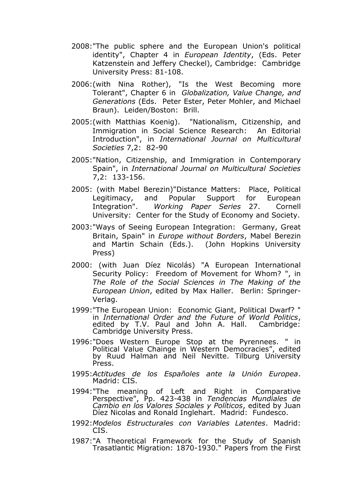- 2008:"The public sphere and the European Union's political identity", Chapter 4 in *European Identity*, (Eds. Peter Katzenstein and Jeffery Checkel), Cambridge: Cambridge University Press: 81-108.
- 2006:(with Nina Rother), "Is the West Becoming more Tolerant", Chapter 6 in *Globalization, Value Change, and Generations* (Eds. Peter Ester, Peter Mohler, and Michael Braun). Leiden/Boston: Brill.
- 2005:(with Matthias Koenig). "Nationalism, Citizenship, and Immigration in Social Science Research: An Editorial Introduction", in *International Journal on Multicultural Societies* 7,2: 82-90
- 2005:"Nation, Citizenship, and Immigration in Contemporary Spain", in *International Journal on Multicultural Societies* 7,2: 133-156.
- 2005: (with Mabel Berezin)"Distance Matters: Place, Political Legitimacy, and Popular Support for European Integration". *Working Paper Series* 27. Cornell University: Center for the Study of Economy and Society.
- 2003:"Ways of Seeing European Integration: Germany, Great Britain, Spain" in *Europe without Borders*, Mabel Berezin and Martin Schain (Eds.). (John Hopkins University Press)
- 2000: (with Juan Díez Nicolás) "A European International Security Policy: Freedom of Movement for Whom? ", in *The Role of the Social Sciences in The Making of the European Union*, edited by Max Haller. Berlin: Springer-Verlag.
- 1999:"The European Union: Economic Giant, Political Dwarf? " in *International Order and the Future of World Politics*, edited by T.V. Paul and John A. Hall. Cambridge: Cambridge University Press.
- 1996:"Does Western Europe Stop at the Pyrennees. " in Political Value Chainge in Western Democracies", edited by Ruud Halman and Neil Nevitte. Tilburg University Press.
- 1995:*Actitudes de los Españoles ante la Unión Europea*. Madrid: CIS.
- 1994:"The meaning of Left and Right in Comparative Perspective", Pp. 423-438 in *Tendencias Mundiales de Cambio en los Valores Sociales y Políticos*, edited by Juan Díez Nicolas and Ronald Inglehart. Madrid: Fundesco.
- 1992:*Modelos Estructurales con Variables Latentes*. Madrid: CIS.
- 1987:"A Theoretical Framework for the Study of Spanish Trasatlantic Migration: 1870-1930." Papers from the First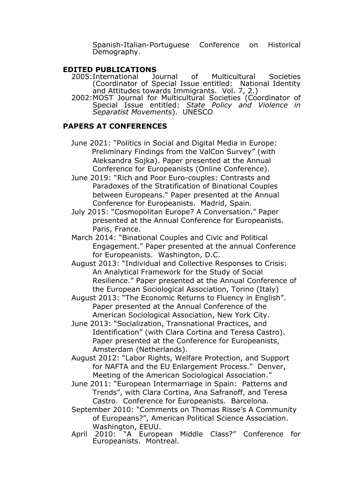Spanish-Italian-Portuguese Conference on Historical Demography.

- **EDITED PUBLICATIONS**<br>2005:International Journal 2005:International Journal of Multicultural Societies (Coordinator of Special Issue entitled: National Identity and Attitudes towards Immigrants. Vol. 7, 2.)
	- 2002:MOST Journal for Multicultural Societies (Coordinator of Special Issue entitled: *State Policy and Violence in Separatist Movements*). UNESCO

# **PAPERS AT CONFERENCES**

- June 2021: "Politics in Social and Digital Media in Europe: Preliminary Findings from the ValCon Survey" (with Aleksandra Sojka). Paper presented at the Annual Conference for Europeanists (Online Conference).
- June 2019: "Rich and Poor Euro-couples: Contrasts and Paradoxes of the Stratification of Binational Couples between Europeans." Paper presented at the Annual Conference for Europeanists. Madrid, Spain.
- July 2015: "Cosmopolitan Europe? A Conversation." Paper presented at the Annual Conference for Europeanists. Paris, France.
- March 2014: "Binational Couples and Civic and Political Engagement." Paper presented at the annual Conference for Europeanists. Washington, D.C.
- August 2013: "Individual and Collective Responses to Crisis: An Analytical Framework for the Study of Social Resilience." Paper presented at the Annual Conference of the European Sociological Association, Torino (Italy)
- August 2013: "The Economic Returns to Fluency in English". Paper presented at the Annual Conference of the American Sociological Association, New York City.
- June 2013: "Socialization, Transnational Practices, and Identification" (with Clara Cortina and Teresa Castro). Paper presented at the Conference for Europeanists, Amsterdam (Netherlands).
- August 2012: "Labor Rights, Welfare Protection, and Support for NAFTA and the EU Enlargement Process." Denver, Meeting of the American Sociological Association."
- June 2011: "European Intermarriage in Spain: Patterns and Trends", with Clara Cortina, Ana Safranoff, and Teresa Castro. Conference for Europeanists. Barcelona.
- September 2010: "Comments on Thomas Risse's A Community of Europeans?", American Political Science Association. Washington, EEUU.<br>April 2010: "A Europe
- "A European Middle Class?" Conference for Europeanists. Montreal.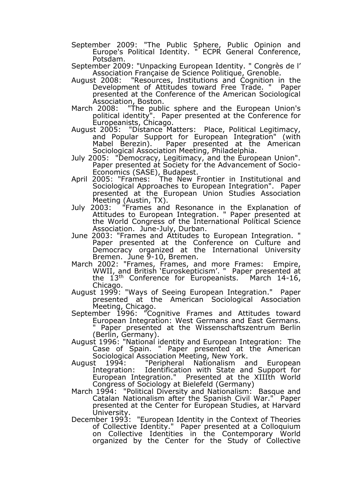- September 2009: "The Public Sphere, Public Opinion and Europe's Political Identity. " ECPR General Conference, Potsdam.
- September 2009: "Unpacking European Identity. " Congrès de l' Association Française de Science Politique, Grenoble.
- August 2008: "Resources, Institutions and Cognition in the Development of Attitudes toward Free Trade. " Paper presented at the Conference of the American Sociological Association, Boston.<br>March 2008: "The publi
- March 2008: "The public sphere and the European Union's political identity". Paper presented at the Conference for Europeanists, Chicago.
- August 2005: "Distance Matters: Place, Political Legitimacy, and Popular Support for European Integration" (with Mabel Berezin). Paper presented at the American Sociological Association Meeting, Philadelphia.
- July 2005: "Democracy, Legitimacy, and the European Union". Paper presented at Society for the Advancement of Socio-Economics (SASE), Budapest.
- April 2005: "Frames: The New Frontier in Institutional and Sociological Approaches to European Integration". Paper presented at the European Union Studies Association Meeting (Austin, TX).
- July 2003: "Frames and Resonance in the Explanation of Attitudes to European Integration. " Paper presented at the World Congress of the International Political Science Association. June-July, Durban.
- June 2003: "Frames and Attitudes to European Integration. " Paper presented at the Conference on Culture and Democracy organized at the International University Bremen. June 9-10, Bremen.
- March 2002: "Frames, Frames, and more Frames: Empire, WWII, and British 'Euroskepticism'. " Paper presented at the  $13<sup>th</sup>$  Conference for Europeanists. March 14-16, Chicago.
- August 1999: "Ways of Seeing European Integration." Paper presented at the American Sociological Association Meeting, Chicago.
- September 1996: "Cognitive Frames and Attitudes toward European Integration: West Germans and East Germans. Paper presented at the Wissenschaftszentrum Berlin (Berlin, Germany).
- August 1996: "National identity and European Integration: The Case of Spain. " Paper presented at the American Sociological Association Meeting, New York.<br>August 1994: "Peripheral Nationalism a
- August 1994: "Peripheral Nationalism and European Integration: Identification with State and Support for European Integration." Presented at the XIIIth World Congress of Sociology at Bielefeld (Germany)
- March 1994: "Political Diversity and Nationalism: Basque and Catalan Nationalism after the Spanish Civil War." Paper presented at the Center for European Studies, at Harvard University.
- December 1993: "European Identity in the Context of Theories of Collective Identity." Paper presented at a Colloquium on Collective Identities in the Contemporary World organized by the Center for the Study of Collective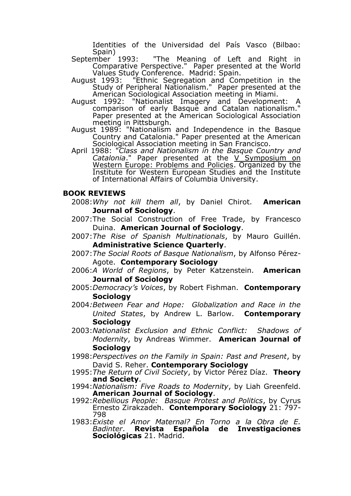Identities of the Universidad del País Vasco (Bilbao:

- Spain)<br>September 1993: "The Meaning of Left and Right in Comparative Perspective." Paper presented at the World Values Study Conference. Madrid: Spain.
- August 1993: "Ethnic Segregation and Competition in the Study of Peripheral Nationalism." Paper presented at the American Sociological Association meeting in Miami.<br>August 1992: "Nationalist Imagery and Developme
- August 1992: "Nationalist Imagery and Development: A comparison of early Basque and Catalan nationalism." Paper presented at the American Sociological Association meeting in Pittsburgh.
- August 1989: "Nationalism and Independence in the Basque Country and Catalonia." Paper presented at the American Sociological Association meeting in San Francisco.
- April 1988: "*Class and Nationalism in the Basque Country and*  Catalonia." Paper presented at the V Symposium on Western Europe: Problems and Policies. Organized by the Institute for Western European Studies and the Institute of International Affairs of Columbia University.

# **BOOK REVIEWS**

- 2008:*Why not kill them all*, by Daniel Chirot. **American Journal of Sociology**.
- 2007:The Social Construction of Free Trade, by Francesco Duina. **American Journal of Sociology**.
- 2007:*The Rise of Spanish Multinationals*, by Mauro Guillén. **Administrative Science Quarterly**.
- 2007:*The Social Roots of Basque Nationalism*, by Alfonso Pérez-Agote. **Contemporary Sociology**
- 2006:*A World of Regions*, by Peter Katzenstein. **American Journal of Sociology**
- 2005:*Democracy's Voices*, by Robert Fishman. **Contemporary Sociology**
- 2004*:Between Fear and Hope: Globalization and Race in the United States*, by Andrew L. Barlow. **Contemporary Sociology**
- 2003:*Nationalist Exclusion and Ethnic Conflict: Shadows of Modernity*, by Andreas Wimmer. **American Journal of Sociology**
- 1998:*Perspectives on the Family in Spain: Past and Present*, by David S. Reher. **Contemporary Sociology**
- 1995:*The Return of Civil Society*, by Victor Pérez Díaz. **Theory and Society**.
- 1994:*Nationalism: Five Roads to Modernity*, by Liah Greenfeld. **American Journal of Sociology**.
- 1992:*Rebellious People: Basque Protest and Politics*, by Cyrus Ernesto Zirakzadeh. **Contemporary Sociology** 21: 797- 798
- 1983:*Existe el Amor Maternal? En Torno a la Obra de E. Badinter*. **Revista Española de Investigaciones Sociológicas** 21. Madrid.